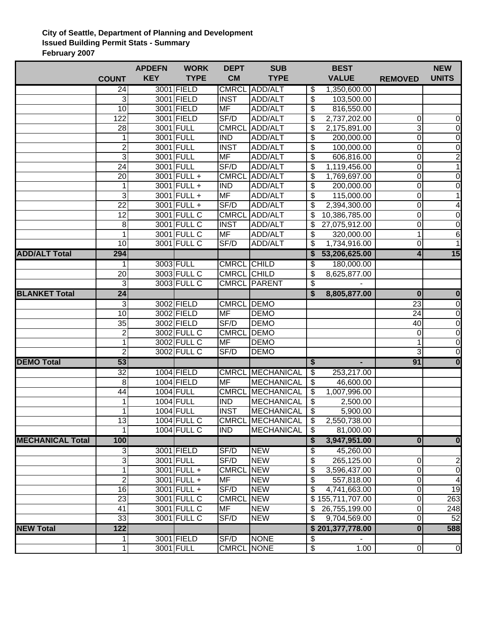## **City of Seattle, Department of Planning and Development Issued Building Permit Stats - Summary February 2007**

|                         |                         | <b>APDEFN</b> | <b>WORK</b>        | <b>DEPT</b>             | <b>SUB</b>              |                          | <b>BEST</b>      |                         | <b>NEW</b>              |
|-------------------------|-------------------------|---------------|--------------------|-------------------------|-------------------------|--------------------------|------------------|-------------------------|-------------------------|
|                         | <b>COUNT</b>            | <b>KEY</b>    | <b>TYPE</b>        | <b>CM</b>               | <b>TYPE</b>             |                          | <b>VALUE</b>     | <b>REMOVED</b>          | <b>UNITS</b>            |
|                         | 24                      |               | 3001 FIELD         |                         | <b>CMRCL ADD/ALT</b>    | \$                       | 1,350,600.00     |                         |                         |
|                         | 3                       |               | 3001 FIELD         | <b>INST</b>             | ADD/ALT                 | \$                       | 103,500.00       |                         |                         |
|                         | $\overline{10}$         |               | 3001 FIELD         | <b>MF</b>               | ADD/ALT                 | \$                       | 816,550.00       |                         |                         |
|                         | 122                     |               | 3001 FIELD         | SF/D                    | ADD/ALT                 | \$                       | 2,737,202.00     | 0                       | $\boldsymbol{0}$        |
|                         | 28                      |               | 3001 FULL          | <b>CMRCL</b>            | ADD/ALT                 | \$                       | 2,175,891.00     | 3                       | $\pmb{0}$               |
|                         | 1                       |               | 3001 FULL          | <b>IND</b>              | ADD/ALT                 | \$                       | 200,000.00       | $\mathbf 0$             | $\pmb{0}$               |
|                         | $\overline{2}$          |               | 3001 FULL          | <b>INST</b>             | ADD/ALT                 | \$                       | 100,000.00       | 0                       | $\overline{0}$          |
|                         | $\overline{3}$          |               | 3001 FULL          | <b>MF</b>               | ADD/ALT                 | \$                       | 606,816.00       | 0                       | $\frac{2}{1}$           |
|                         | 24                      |               | 3001 FULL          | SF/D                    | ADD/ALT                 | \$                       | 1,119,456.00     | 0                       |                         |
|                         | 20                      |               | 3001 FULL +        | <b>CMRCL</b>            | ADD/ALT                 | \$                       | 1,769,697.00     | 0                       | $\boldsymbol{0}$        |
|                         | 1                       |               | 3001 FULL +        | <b>IND</b>              | ADD/ALT                 | $\overline{\mathcal{S}}$ | 200,000.00       | 0                       | $\overline{0}$          |
|                         | 3                       |               | 3001 FULL +        | <b>MF</b>               | ADD/ALT                 | \$                       | 115,000.00       | $\mathbf 0$             | $\mathbf{1}$            |
|                         | $\overline{22}$         |               | 3001 FULL +        | SF/D                    | ADD/ALT                 | \$                       | 2,394,300.00     | $\pmb{0}$               | $\overline{\mathbf{4}}$ |
|                         | 12                      |               | 3001 FULL C        | <b>CMRCL</b>            | ADD/ALT                 | \$                       | 10,386,785.00    | 0                       | $\boldsymbol{0}$        |
|                         | 8                       |               | 3001 FULL C        | <b>INST</b>             | ADD/ALT                 | \$                       | 27,075,912.00    | 0                       | $\boldsymbol{0}$        |
|                         | 1                       |               | 3001 FULL C        | <b>MF</b>               | ADD/ALT                 | \$                       | 320,000.00       | $\mathbf 1$             | 6                       |
|                         | 10                      |               | 3001 FULL C        | SF/D                    | ADD/ALT                 | \$                       | 1,734,916.00     | $\mathbf 0$             | $\overline{1}$          |
| <b>ADD/ALT Total</b>    | 294                     |               |                    |                         |                         |                          | 53,206,625.00    | $\overline{\mathbf{4}}$ | 15                      |
|                         | 1                       |               | 3003 FULL          | <b>CMRCL CHILD</b>      |                         | \$                       | 180,000.00       |                         |                         |
|                         | 20                      |               | 3003 FULL C        | CMRCL CHILD             |                         | \$                       | 8,625,877.00     |                         |                         |
|                         | 3                       |               | 3003 FULL C        |                         | <b>CMRCL PARENT</b>     | \$                       |                  |                         |                         |
| <b>BLANKET Total</b>    | 24                      |               |                    |                         |                         | \$                       | 8,805,877.00     | $\bf{0}$                | $\overline{\mathbf{0}}$ |
|                         | 3                       |               | 3002 FIELD         | <b>CMRCL</b>            | <b>DEMO</b>             |                          |                  | 23                      | $\overline{0}$          |
|                         | 10                      |               | 3002 FIELD         | <b>MF</b>               | <b>DEMO</b>             |                          |                  | 24                      | $\boldsymbol{0}$        |
|                         | 35                      |               | 3002 FIELD         | SF/D                    | <b>DEMO</b>             |                          |                  | 40                      | $\overline{0}$          |
|                         | $\overline{\mathbf{c}}$ |               | 3002 FULL C        | <b>CMRCL</b>            | <b>DEMO</b>             |                          |                  | 0                       | $\boldsymbol{0}$        |
|                         | 1                       |               | 3002 FULL C        | <b>MF</b>               | <b>DEMO</b>             |                          |                  | 1                       | $\boldsymbol{0}$        |
|                         | $\overline{2}$          |               | 3002 FULL C        | SF/D                    | <b>DEMO</b>             |                          |                  | 3                       | $\overline{0}$          |
| <b>DEMO Total</b>       | 53                      |               |                    |                         |                         | \$                       | ٠                | 91                      | $\overline{\mathbf{0}}$ |
|                         | $\overline{32}$         |               | 1004 FIELD         |                         | <b>CMRCL MECHANICAL</b> | \$                       | 253,217.00       |                         |                         |
|                         | 8                       |               | 1004 FIELD         | <b>MF</b>               | <b>MECHANICAL</b>       | \$                       | 46,600.00        |                         |                         |
|                         | 44                      |               | <b>1004 FULL</b>   | <b>CMRCL</b>            | <b>MECHANICAL</b>       | \$                       | 1,007,996.00     |                         |                         |
|                         | 1                       |               | <b>1004 FULL</b>   | $\overline{\text{IND}}$ | MECHANICAL              | \$                       | 2,500.00         |                         |                         |
|                         | $\mathbf{1}$            |               | 1004 FULL          | <b>INST</b>             | MECHANICAL              | \$                       | 5,900.00         |                         |                         |
|                         | $\overline{13}$         |               | <b>1004 FULL C</b> |                         | CMRCL MECHANICAL        | \$                       | 2,550,738.00     |                         |                         |
|                         |                         |               | <b>1004 FULL C</b> | <b>IND</b>              | MECHANICAL              | \$                       | 81,000.00        |                         |                         |
| <b>MECHANICAL Total</b> | 100                     |               |                    |                         |                         | \$                       | 3,947,951.00     | 0                       | $\overline{\mathbf{0}}$ |
|                         | 3                       |               | 3001 FIELD         | SF/D                    | <b>NEW</b>              | \$                       | 45,260.00        |                         |                         |
|                         | 3                       |               | 3001 FULL          | S F/D                   | <b>NEW</b>              | \$                       | 265,125.00       | 0                       | 2                       |
|                         | 1                       |               | 3001 FULL +        | <b>CMRCL</b>            | <b>NEW</b>              | \$                       | 3,596,437.00     | 0                       | $\boldsymbol{0}$        |
|                         | $\overline{2}$          |               | 3001 FULL +        | <b>MF</b>               | <b>NEW</b>              | \$                       | 557,818.00       | 0                       | $\overline{4}$          |
|                         | $\overline{16}$         |               | 3001 FULL +        | SF/D                    | <b>NEW</b>              | \$                       | 4,741,663.00     | $\mathbf 0$             | 19                      |
|                         | 23                      |               | 3001 FULL C        | <b>CMRCL</b>            | <b>NEW</b>              |                          | \$155,711,707.00 | 0                       | 263                     |
|                         | 41                      |               | 3001 FULL C        | MF                      | <b>NEW</b>              | \$                       | 26,755,199.00    | 0                       | 248                     |
|                         | 33                      |               | 3001 FULL C        | SF/D                    | <b>NEW</b>              | \$                       | 9,704,569.00     | 0                       | 52                      |
| <b>NEW Total</b>        | 122                     |               |                    |                         |                         |                          | \$201,377,778.00 | $\overline{\mathbf{0}}$ | 588                     |
|                         | 1                       |               | 3001 FIELD         | SF/D                    | <b>NONE</b>             | \$                       |                  |                         |                         |
|                         | 1                       |               | 3001 FULL          | <b>CMRCL NONE</b>       |                         | \$                       | 1.00             | $\overline{0}$          | $\pmb{0}$               |